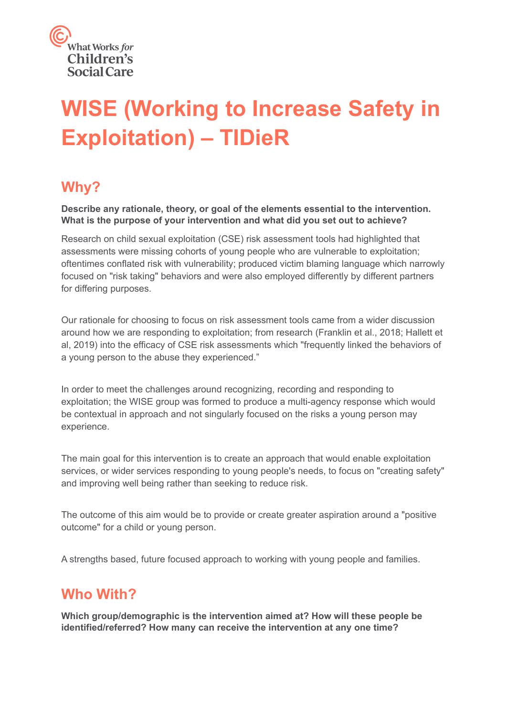

# **WISE (Working to Increase Safety in Exploitation) – TIDieR**

#### **Why?**

**Describe any rationale, theory, or goal of the elements essential to the intervention. What is the purpose of your intervention and what did you set out to achieve?**

Research on child sexual exploitation (CSE) risk assessment tools had highlighted that assessments were missing cohorts of young people who are vulnerable to exploitation; oftentimes conflated risk with vulnerability; produced victim blaming language which narrowly focused on "risk taking" behaviors and were also employed differently by different partners for differing purposes.

Our rationale for choosing to focus on risk assessment tools came from a wider discussion around how we are responding to exploitation; from research (Franklin et al., 2018; Hallett et al, 2019) into the efficacy of CSE risk assessments which "frequently linked the behaviors of a young person to the abuse they experienced."

In order to meet the challenges around recognizing, recording and responding to exploitation; the WISE group was formed to produce a multi-agency response which would be contextual in approach and not singularly focused on the risks a young person may experience.

The main goal for this intervention is to create an approach that would enable exploitation services, or wider services responding to young people's needs, to focus on "creating safety" and improving well being rather than seeking to reduce risk.

The outcome of this aim would be to provide or create greater aspiration around a "positive outcome" for a child or young person.

A strengths based, future focused approach to working with young people and families.

#### **Who With?**

**Which group/demographic is the intervention aimed at? How will these people be identified/referred? How many can receive the intervention at any one time?**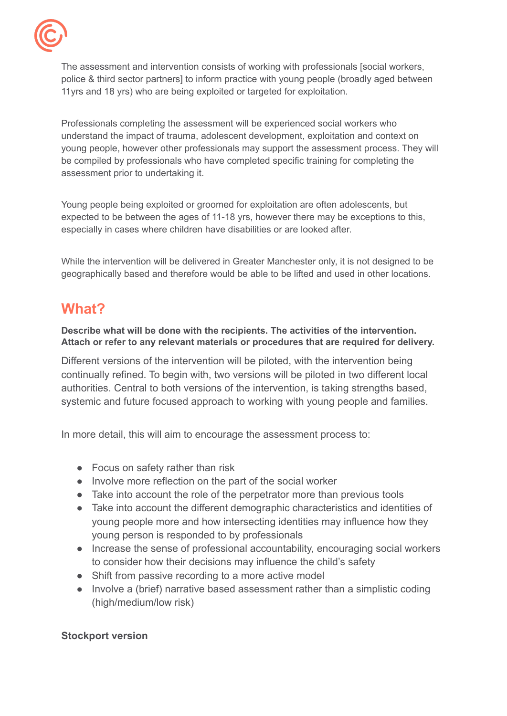

The assessment and intervention consists of working with professionals [social workers, police & third sector partners] to inform practice with young people (broadly aged between 11yrs and 18 yrs) who are being exploited or targeted for exploitation.

Professionals completing the assessment will be experienced social workers who understand the impact of trauma, adolescent development, exploitation and context on young people, however other professionals may support the assessment process. They will be compiled by professionals who have completed specific training for completing the assessment prior to undertaking it.

Young people being exploited or groomed for exploitation are often adolescents, but expected to be between the ages of 11-18 yrs, however there may be exceptions to this, especially in cases where children have disabilities or are looked after.

While the intervention will be delivered in Greater Manchester only, it is not designed to be geographically based and therefore would be able to be lifted and used in other locations.

## **What?**

**Describe what will be done with the recipients. The activities of the intervention. Attach or refer to any relevant materials or procedures that are required for delivery.**

Different versions of the intervention will be piloted, with the intervention being continually refined. To begin with, two versions will be piloted in two different local authorities. Central to both versions of the intervention, is taking strengths based, systemic and future focused approach to working with young people and families.

In more detail, this will aim to encourage the assessment process to:

- Focus on safety rather than risk
- Involve more reflection on the part of the social worker
- Take into account the role of the perpetrator more than previous tools
- Take into account the different demographic characteristics and identities of young people more and how intersecting identities may influence how they young person is responded to by professionals
- Increase the sense of professional accountability, encouraging social workers to consider how their decisions may influence the child's safety
- Shift from passive recording to a more active model
- Involve a (brief) narrative based assessment rather than a simplistic coding (high/medium/low risk)

#### **Stockport version**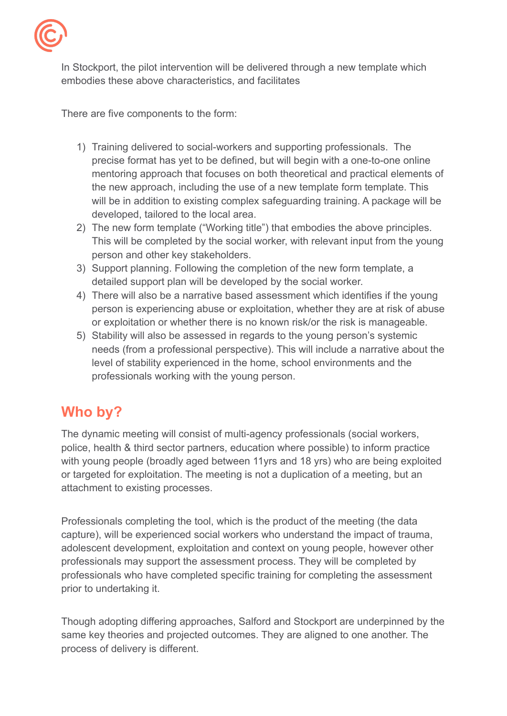

In Stockport, the pilot intervention will be delivered through a new template which embodies these above characteristics, and facilitates

There are five components to the form:

- 1) Training delivered to social-workers and supporting professionals. The precise format has yet to be defined, but will begin with a one-to-one online mentoring approach that focuses on both theoretical and practical elements of the new approach, including the use of a new template form template. This will be in addition to existing complex safeguarding training. A package will be developed, tailored to the local area.
- 2) The new form template ("Working title") that embodies the above principles. This will be completed by the social worker, with relevant input from the young person and other key stakeholders.
- 3) Support planning. Following the completion of the new form template, a detailed support plan will be developed by the social worker.
- 4) There will also be a narrative based assessment which identifies if the young person is experiencing abuse or exploitation, whether they are at risk of abuse or exploitation or whether there is no known risk/or the risk is manageable.
- 5) Stability will also be assessed in regards to the young person's systemic needs (from a professional perspective). This will include a narrative about the level of stability experienced in the home, school environments and the professionals working with the young person.

## **Who by?**

The dynamic meeting will consist of multi-agency professionals (social workers, police, health & third sector partners, education where possible) to inform practice with young people (broadly aged between 11yrs and 18 yrs) who are being exploited or targeted for exploitation. The meeting is not a duplication of a meeting, but an attachment to existing processes.

Professionals completing the tool, which is the product of the meeting (the data capture), will be experienced social workers who understand the impact of trauma, adolescent development, exploitation and context on young people, however other professionals may support the assessment process. They will be completed by professionals who have completed specific training for completing the assessment prior to undertaking it.

Though adopting differing approaches, Salford and Stockport are underpinned by the same key theories and projected outcomes. They are aligned to one another. The process of delivery is different.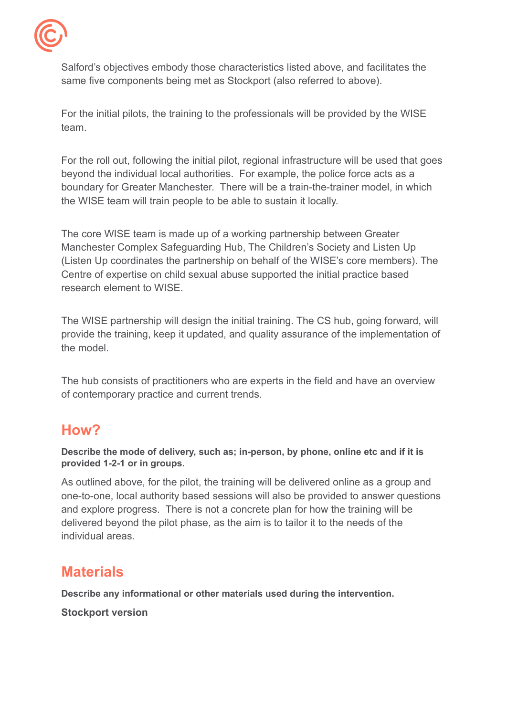

Salford's objectives embody those characteristics listed above, and facilitates the same five components being met as Stockport (also referred to above).

For the initial pilots, the training to the professionals will be provided by the WISE team.

For the roll out, following the initial pilot, regional infrastructure will be used that goes beyond the individual local authorities. For example, the police force acts as a boundary for Greater Manchester. There will be a train-the-trainer model, in which the WISE team will train people to be able to sustain it locally.

The core WISE team is made up of a working partnership between Greater Manchester Complex Safeguarding Hub, The Children's Society and Listen Up (Listen Up coordinates the partnership on behalf of the WISE's core members). The Centre of expertise on child sexual abuse supported the initial practice based research element to WISE.

The WISE partnership will design the initial training. The CS hub, going forward, will provide the training, keep it updated, and quality assurance of the implementation of the model.

The hub consists of practitioners who are experts in the field and have an overview of contemporary practice and current trends.

#### **How?**

**Describe the mode of delivery, such as; in-person, by phone, online etc and if it is provided 1-2-1 or in groups.**

As outlined above, for the pilot, the training will be delivered online as a group and one-to-one, local authority based sessions will also be provided to answer questions and explore progress. There is not a concrete plan for how the training will be delivered beyond the pilot phase, as the aim is to tailor it to the needs of the individual areas.

## **Materials**

**Describe any informational or other materials used during the intervention.**

**Stockport version**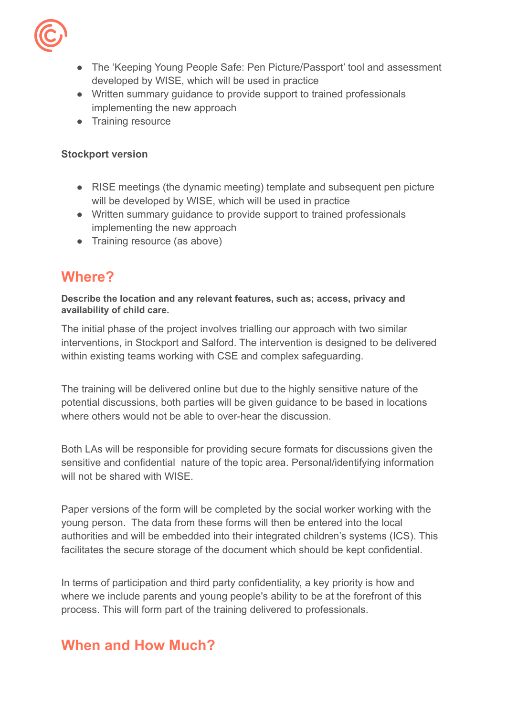

- The 'Keeping Young People Safe: Pen Picture/Passport' tool and assessment developed by WISE, which will be used in practice
- Written summary guidance to provide support to trained professionals implementing the new approach
- Training resource

#### **Stockport version**

- RISE meetings (the dynamic meeting) template and subsequent pen picture will be developed by WISE, which will be used in practice
- Written summary guidance to provide support to trained professionals implementing the new approach
- Training resource (as above)

#### **Where?**

**Describe the location and any relevant features, such as; access, privacy and availability of child care.**

The initial phase of the project involves trialling our approach with two similar interventions, in Stockport and Salford. The intervention is designed to be delivered within existing teams working with CSE and complex safeguarding.

The training will be delivered online but due to the highly sensitive nature of the potential discussions, both parties will be given guidance to be based in locations where others would not be able to over-hear the discussion

Both LAs will be responsible for providing secure formats for discussions given the sensitive and confidential nature of the topic area. Personal/identifying information will not be shared with WISE

Paper versions of the form will be completed by the social worker working with the young person. The data from these forms will then be entered into the local authorities and will be embedded into their integrated children's systems (ICS). This facilitates the secure storage of the document which should be kept confidential.

In terms of participation and third party confidentiality, a key priority is how and where we include parents and young people's ability to be at the forefront of this process. This will form part of the training delivered to professionals.

#### **When and How Much?**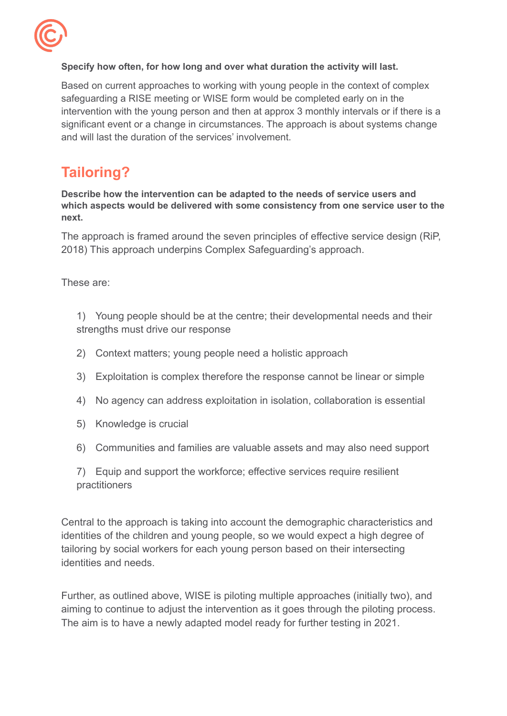

#### **Specify how often, for how long and over what duration the activity will last.**

Based on current approaches to working with young people in the context of complex safeguarding a RISE meeting or WISE form would be completed early on in the intervention with the young person and then at approx 3 monthly intervals or if there is a significant event or a change in circumstances. The approach is about systems change and will last the duration of the services' involvement.

## **Tailoring?**

**Describe how the intervention can be adapted to the needs of service users and which aspects would be delivered with some consistency from one service user to the next.**

The approach is framed around the seven principles of effective service design (RiP, 2018) This approach underpins Complex Safeguarding's approach.

These are:

1) Young people should be at the centre; their developmental needs and their strengths must drive our response

- 2) Context matters; young people need a holistic approach
- 3) Exploitation is complex therefore the response cannot be linear or simple
- 4) No agency can address exploitation in isolation, collaboration is essential
- 5) Knowledge is crucial
- 6) Communities and families are valuable assets and may also need support

7) Equip and support the workforce; effective services require resilient practitioners

Central to the approach is taking into account the demographic characteristics and identities of the children and young people, so we would expect a high degree of tailoring by social workers for each young person based on their intersecting identities and needs.

Further, as outlined above, WISE is piloting multiple approaches (initially two), and aiming to continue to adjust the intervention as it goes through the piloting process. The aim is to have a newly adapted model ready for further testing in 2021.